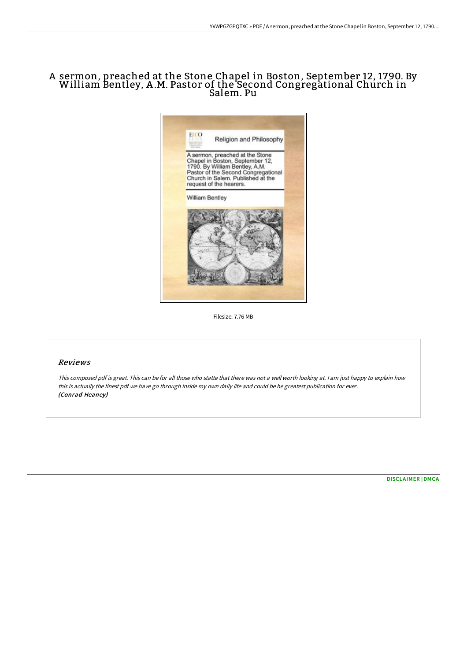## <sup>A</sup> sermon, preached at the Stone Chapel in Boston, September 12, 1790. By William Bentley, <sup>A</sup> .M. Pastor of the Second Congregational Church in Salem. Pu



Filesize: 7.76 MB

## Reviews

This composed pdf is great. This can be for all those who statte that there was not <sup>a</sup> well worth looking at. <sup>I</sup> am just happy to explain how this is actually the finest pdf we have go through inside my own daily life and could be he greatest publication for ever. (Conrad Heaney)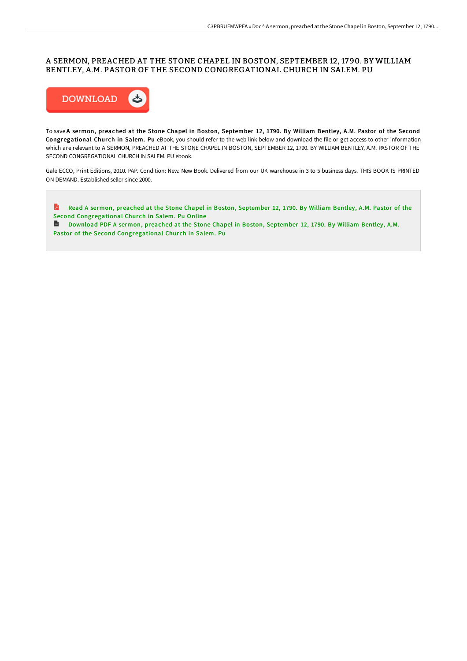## A SERMON, PREACHED AT THE STONE CHAPEL IN BOSTON, SEPTEMBER 12, 1790. BY WILLIAM BENTLEY, A.M. PASTOR OF THE SECOND CONGREGATIONAL CHURCH IN SALEM. PU



To save A sermon, preached at the Stone Chapel in Boston, September 12, 1790. By William Bentley, A.M. Pastor of the Second Congregational Church in Salem. Pu eBook, you should refer to the web link below and download the file or get access to other information which are relevant to A SERMON, PREACHED AT THE STONE CHAPEL IN BOSTON, SEPTEMBER 12, 1790. BY WILLIAM BENTLEY, A.M. PASTOR OF THE SECOND CONGREGATIONAL CHURCH IN SALEM. PU ebook.

Gale ECCO, Print Editions, 2010. PAP. Condition: New. New Book. Delivered from our UK warehouse in 3 to 5 business days. THIS BOOK IS PRINTED ON DEMAND. Established seller since 2000.